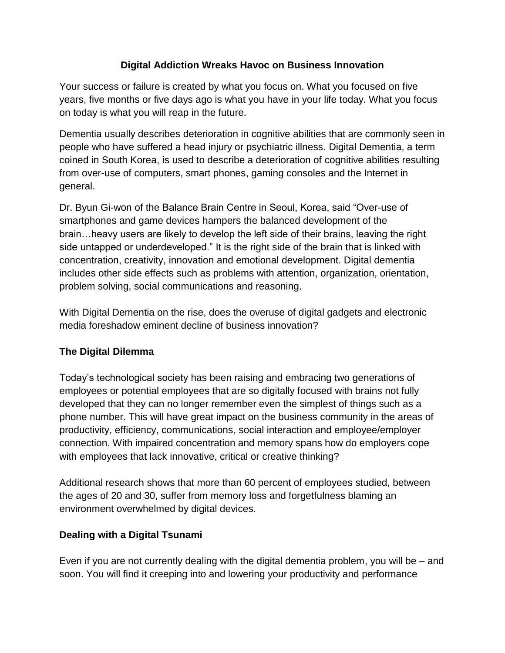## **Digital Addiction Wreaks Havoc on Business Innovation**

Your success or failure is created by what you focus on. What you focused on five years, five months or five days ago is what you have in your life today. What you focus on today is what you will reap in the future.

Dementia usually describes deterioration in cognitive abilities that are commonly seen in people who have suffered a head injury or psychiatric illness. Digital Dementia, a term coined in South Korea, is used to describe a deterioration of cognitive abilities resulting from over-use of computers, smart phones, gaming consoles and the Internet in general.

Dr. Byun Gi-won of the Balance Brain Centre in Seoul, Korea, said "Over-use of smartphones and game devices hampers the balanced development of the brain…heavy users are likely to develop the left side of their brains, leaving the right side untapped or underdeveloped." It is the right side of the brain that is linked with concentration, creativity, innovation and emotional development. Digital dementia includes other side effects such as problems with attention, organization, orientation, problem solving, social communications and reasoning.

With Digital Dementia on the rise, does the overuse of digital gadgets and electronic media foreshadow eminent decline of business innovation?

## **The Digital Dilemma**

Today's technological society has been raising and embracing two generations of employees or potential employees that are so digitally focused with brains not fully developed that they can no longer remember even the simplest of things such as a phone number. This will have great impact on the business community in the areas of productivity, efficiency, communications, social interaction and employee/employer connection. With impaired concentration and memory spans how do employers cope with employees that lack innovative, critical or creative thinking?

Additional research shows that more than 60 percent of employees studied, between the ages of 20 and 30, suffer from memory loss and forgetfulness blaming an environment overwhelmed by digital devices.

## **Dealing with a Digital Tsunami**

Even if you are not currently dealing with the digital dementia problem, you will be – and soon. You will find it creeping into and lowering your productivity and performance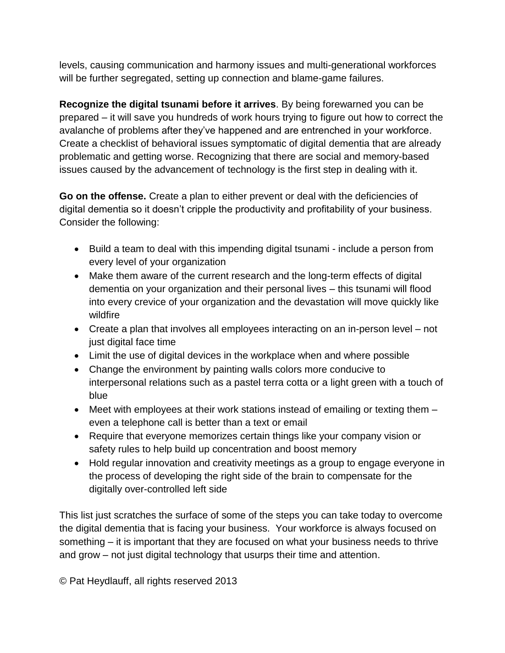levels, causing communication and harmony issues and multi-generational workforces will be further segregated, setting up connection and blame-game failures.

**Recognize the digital tsunami before it arrives**. By being forewarned you can be prepared – it will save you hundreds of work hours trying to figure out how to correct the avalanche of problems after they've happened and are entrenched in your workforce. Create a checklist of behavioral issues symptomatic of digital dementia that are already problematic and getting worse. Recognizing that there are social and memory-based issues caused by the advancement of technology is the first step in dealing with it.

**Go on the offense.** Create a plan to either prevent or deal with the deficiencies of digital dementia so it doesn't cripple the productivity and profitability of your business. Consider the following:

- Build a team to deal with this impending digital tsunami include a person from every level of your organization
- Make them aware of the current research and the long-term effects of digital dementia on your organization and their personal lives – this tsunami will flood into every crevice of your organization and the devastation will move quickly like wildfire
- Create a plan that involves all employees interacting on an in-person level not just digital face time
- Limit the use of digital devices in the workplace when and where possible
- Change the environment by painting walls colors more conducive to interpersonal relations such as a pastel terra cotta or a light green with a touch of blue
- Meet with employees at their work stations instead of emailing or texting them even a telephone call is better than a text or email
- Require that everyone memorizes certain things like your company vision or safety rules to help build up concentration and boost memory
- Hold regular innovation and creativity meetings as a group to engage everyone in the process of developing the right side of the brain to compensate for the digitally over-controlled left side

This list just scratches the surface of some of the steps you can take today to overcome the digital dementia that is facing your business. Your workforce is always focused on something – it is important that they are focused on what your business needs to thrive and grow – not just digital technology that usurps their time and attention.

© Pat Heydlauff, all rights reserved 2013